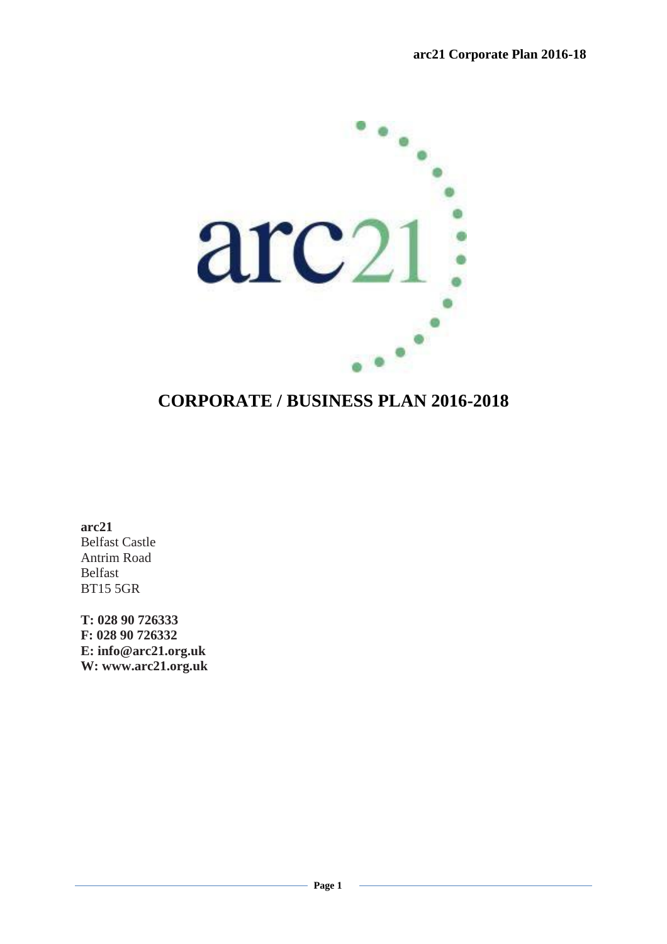

# **CORPORATE / BUSINESS PLAN 2016-2018**

**arc21** Belfast Castle Antrim Road Belfast BT15 5GR

**T: 028 90 726333 F: 028 90 726332 E: info@arc21.org.uk W: www.arc21.org.uk**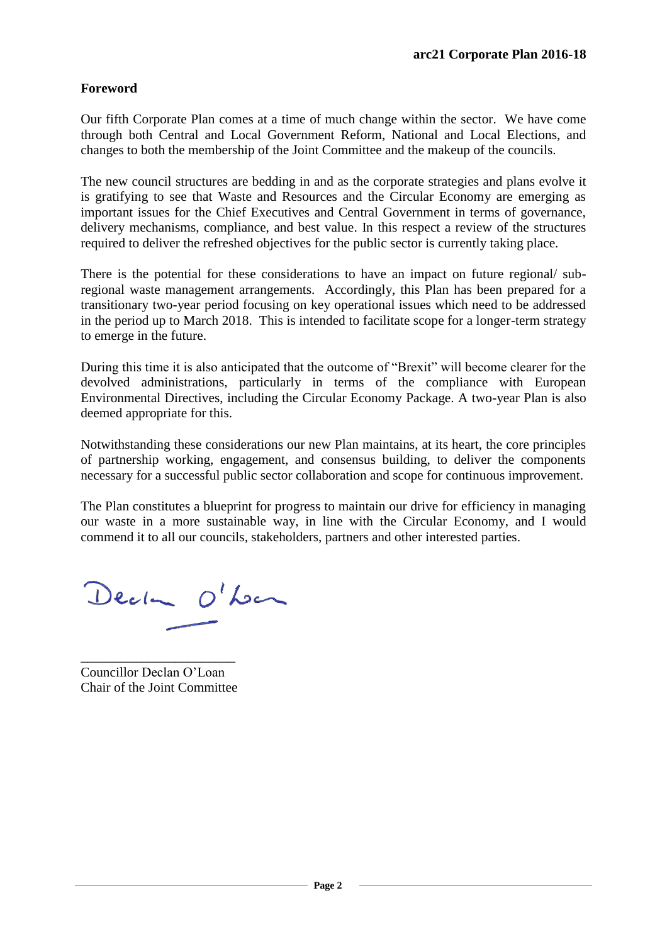# **Foreword**

Our fifth Corporate Plan comes at a time of much change within the sector. We have come through both Central and Local Government Reform, National and Local Elections, and changes to both the membership of the Joint Committee and the makeup of the councils.

The new council structures are bedding in and as the corporate strategies and plans evolve it is gratifying to see that Waste and Resources and the Circular Economy are emerging as important issues for the Chief Executives and Central Government in terms of governance, delivery mechanisms, compliance, and best value. In this respect a review of the structures required to deliver the refreshed objectives for the public sector is currently taking place.

There is the potential for these considerations to have an impact on future regional/ subregional waste management arrangements. Accordingly, this Plan has been prepared for a transitionary two-year period focusing on key operational issues which need to be addressed in the period up to March 2018. This is intended to facilitate scope for a longer-term strategy to emerge in the future.

During this time it is also anticipated that the outcome of "Brexit" will become clearer for the devolved administrations, particularly in terms of the compliance with European Environmental Directives, including the Circular Economy Package. A two-year Plan is also deemed appropriate for this.

Notwithstanding these considerations our new Plan maintains, at its heart, the core principles of partnership working, engagement, and consensus building, to deliver the components necessary for a successful public sector collaboration and scope for continuous improvement.

The Plan constitutes a blueprint for progress to maintain our drive for efficiency in managing our waste in a more sustainable way, in line with the Circular Economy, and I would commend it to all our councils, stakeholders, partners and other interested parties.

Decke O'Lon

\_\_\_\_\_\_\_\_\_\_\_\_\_\_\_\_\_\_\_\_\_\_\_ Councillor Declan O'Loan Chair of the Joint Committee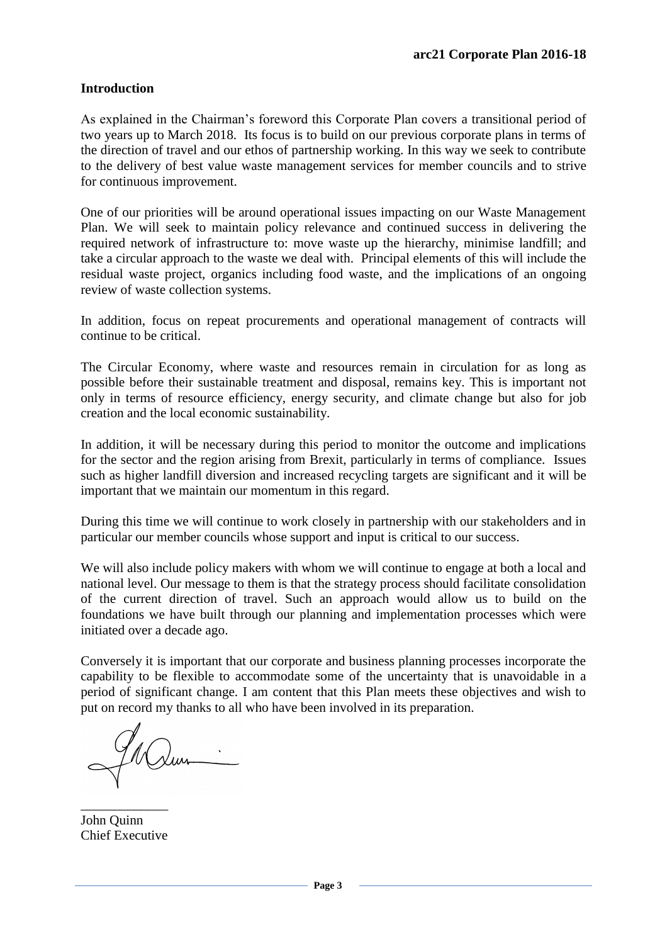## **Introduction**

As explained in the Chairman's foreword this Corporate Plan covers a transitional period of two years up to March 2018. Its focus is to build on our previous corporate plans in terms of the direction of travel and our ethos of partnership working. In this way we seek to contribute to the delivery of best value waste management services for member councils and to strive for continuous improvement.

One of our priorities will be around operational issues impacting on our Waste Management Plan. We will seek to maintain policy relevance and continued success in delivering the required network of infrastructure to: move waste up the hierarchy, minimise landfill; and take a circular approach to the waste we deal with. Principal elements of this will include the residual waste project, organics including food waste, and the implications of an ongoing review of waste collection systems.

In addition, focus on repeat procurements and operational management of contracts will continue to be critical.

The Circular Economy, where waste and resources remain in circulation for as long as possible before their sustainable treatment and disposal, remains key. This is important not only in terms of resource efficiency, energy security, and climate change but also for job creation and the local economic sustainability.

In addition, it will be necessary during this period to monitor the outcome and implications for the sector and the region arising from Brexit, particularly in terms of compliance. Issues such as higher landfill diversion and increased recycling targets are significant and it will be important that we maintain our momentum in this regard.

During this time we will continue to work closely in partnership with our stakeholders and in particular our member councils whose support and input is critical to our success.

We will also include policy makers with whom we will continue to engage at both a local and national level. Our message to them is that the strategy process should facilitate consolidation of the current direction of travel. Such an approach would allow us to build on the foundations we have built through our planning and implementation processes which were initiated over a decade ago.

Conversely it is important that our corporate and business planning processes incorporate the capability to be flexible to accommodate some of the uncertainty that is unavoidable in a period of significant change. I am content that this Plan meets these objectives and wish to put on record my thanks to all who have been involved in its preparation.

\_\_\_\_\_\_\_\_\_\_\_\_\_ John Quinn Chief Executive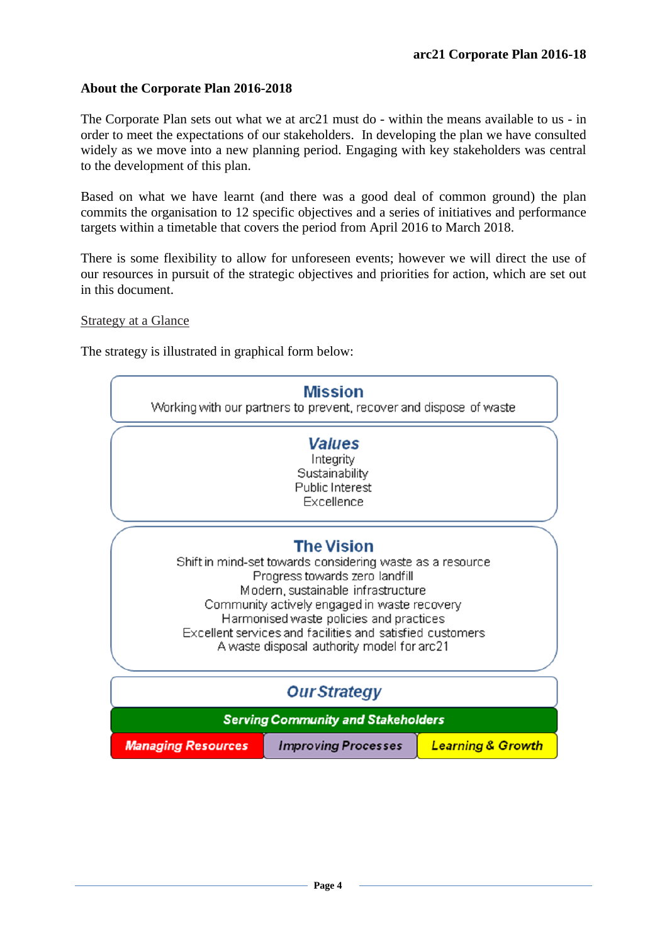## **About the Corporate Plan 2016-2018**

The Corporate Plan sets out what we at arc21 must do - within the means available to us - in order to meet the expectations of our stakeholders. In developing the plan we have consulted widely as we move into a new planning period. Engaging with key stakeholders was central to the development of this plan.

Based on what we have learnt (and there was a good deal of common ground) the plan commits the organisation to 12 specific objectives and a series of initiatives and performance targets within a timetable that covers the period from April 2016 to March 2018.

There is some flexibility to allow for unforeseen events; however we will direct the use of our resources in pursuit of the strategic objectives and priorities for action, which are set out in this document.

#### Strategy at a Glance

The strategy is illustrated in graphical form below:

|                                                                                                                                                                                                                                                                                                                                                              | <b>Mission</b><br>Working with our partners to prevent, recover and dispose of waste |                              |
|--------------------------------------------------------------------------------------------------------------------------------------------------------------------------------------------------------------------------------------------------------------------------------------------------------------------------------------------------------------|--------------------------------------------------------------------------------------|------------------------------|
|                                                                                                                                                                                                                                                                                                                                                              | <b>Values</b><br>Integrity<br>Sustainability<br>Public Interest<br>Excellence        |                              |
| <b>The Vision</b><br>Shift in mind-set towards considering waste as a resource<br>Progress towards zero landfill<br>Modern, sustainable infrastructure<br>Community actively engaged in waste recovery<br>Harmonised waste policies and practices<br>Excellent services and facilities and satisfied customers<br>A waste disposal authority model for arc21 |                                                                                      |                              |
| <b>Our Strategy</b>                                                                                                                                                                                                                                                                                                                                          |                                                                                      |                              |
| <b>Serving Community and Stakeholders</b>                                                                                                                                                                                                                                                                                                                    |                                                                                      |                              |
| <b>Managing Resources</b>                                                                                                                                                                                                                                                                                                                                    | <b>Improving Processes</b>                                                           | <b>Learning &amp; Growth</b> |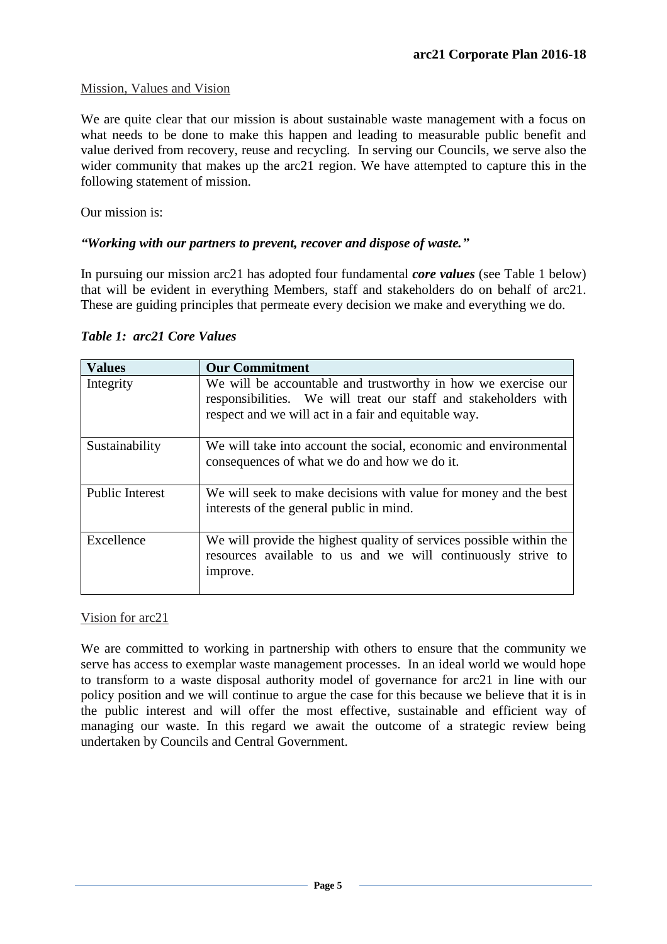## Mission, Values and Vision

We are quite clear that our mission is about sustainable waste management with a focus on what needs to be done to make this happen and leading to measurable public benefit and value derived from recovery, reuse and recycling. In serving our Councils, we serve also the wider community that makes up the arc21 region. We have attempted to capture this in the following statement of mission.

Our mission is:

## *"Working with our partners to prevent, recover and dispose of waste."*

In pursuing our mission arc21 has adopted four fundamental *core values* (see Table 1 below) that will be evident in everything Members, staff and stakeholders do on behalf of arc21. These are guiding principles that permeate every decision we make and everything we do.

| <b>Values</b>          | <b>Our Commitment</b>                                                                                                                                                                    |
|------------------------|------------------------------------------------------------------------------------------------------------------------------------------------------------------------------------------|
| Integrity              | We will be accountable and trustworthy in how we exercise our<br>responsibilities. We will treat our staff and stakeholders with<br>respect and we will act in a fair and equitable way. |
| Sustainability         | We will take into account the social, economic and environmental<br>consequences of what we do and how we do it.                                                                         |
| <b>Public Interest</b> | We will seek to make decisions with value for money and the best<br>interests of the general public in mind.                                                                             |
| Excellence             | We will provide the highest quality of services possible within the<br>resources available to us and we will continuously strive to<br>improve.                                          |

#### *Table 1: arc21 Core Values*

Vision for arc21

We are committed to working in partnership with others to ensure that the community we serve has access to exemplar waste management processes. In an ideal world we would hope to transform to a waste disposal authority model of governance for arc21 in line with our policy position and we will continue to argue the case for this because we believe that it is in the public interest and will offer the most effective, sustainable and efficient way of managing our waste. In this regard we await the outcome of a strategic review being undertaken by Councils and Central Government.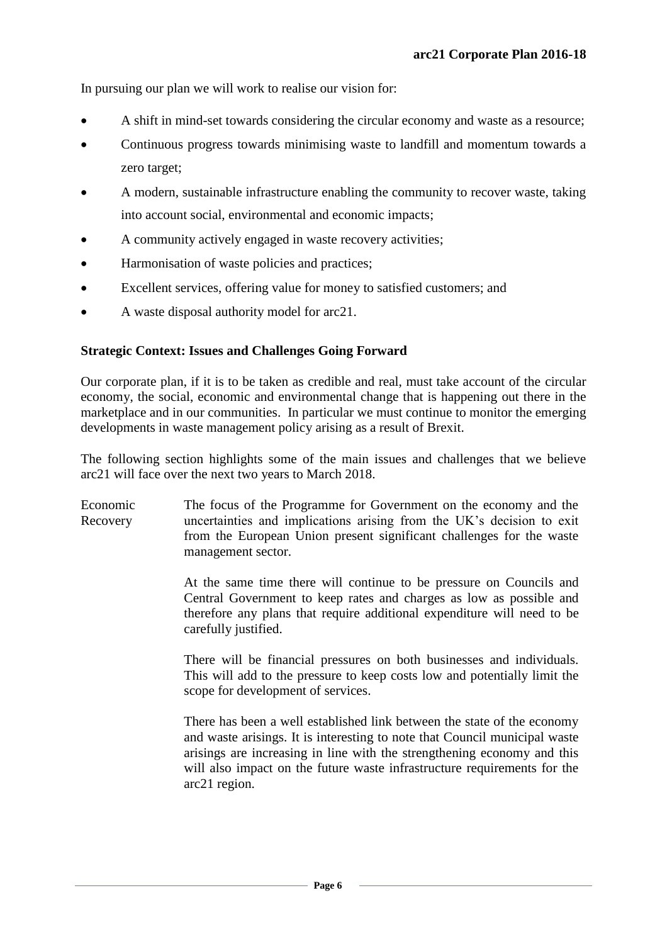In pursuing our plan we will work to realise our vision for:

- A shift in mind-set towards considering the circular economy and waste as a resource;
- Continuous progress towards minimising waste to landfill and momentum towards a zero target;
- A modern, sustainable infrastructure enabling the community to recover waste, taking into account social, environmental and economic impacts;
- A community actively engaged in waste recovery activities;
- Harmonisation of waste policies and practices;
- Excellent services, offering value for money to satisfied customers; and
- A waste disposal authority model for arc21.

## **Strategic Context: Issues and Challenges Going Forward**

Our corporate plan, if it is to be taken as credible and real, must take account of the circular economy, the social, economic and environmental change that is happening out there in the marketplace and in our communities. In particular we must continue to monitor the emerging developments in waste management policy arising as a result of Brexit.

The following section highlights some of the main issues and challenges that we believe arc21 will face over the next two years to March 2018.

Economic Recovery The focus of the Programme for Government on the economy and the uncertainties and implications arising from the UK's decision to exit from the European Union present significant challenges for the waste management sector.

> At the same time there will continue to be pressure on Councils and Central Government to keep rates and charges as low as possible and therefore any plans that require additional expenditure will need to be carefully justified.

> There will be financial pressures on both businesses and individuals. This will add to the pressure to keep costs low and potentially limit the scope for development of services.

> There has been a well established link between the state of the economy and waste arisings. It is interesting to note that Council municipal waste arisings are increasing in line with the strengthening economy and this will also impact on the future waste infrastructure requirements for the arc21 region.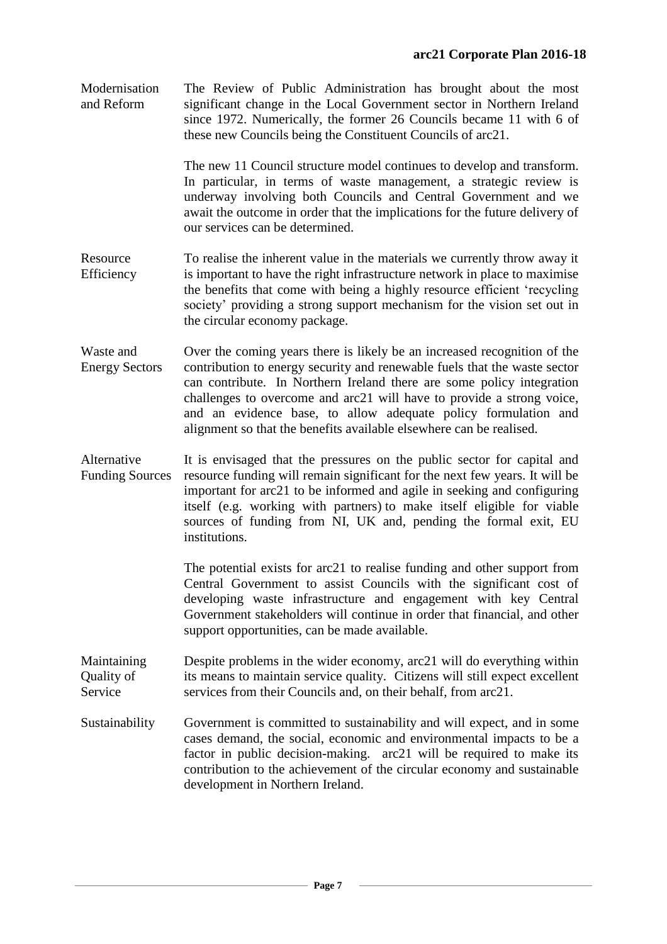Modernisation and Reform The Review of Public Administration has brought about the most significant change in the Local Government sector in Northern Ireland since 1972. Numerically, the former 26 Councils became 11 with 6 of these new Councils being the Constituent Councils of arc21.

> The new 11 Council structure model continues to develop and transform. In particular, in terms of waste management, a strategic review is underway involving both Councils and Central Government and we await the outcome in order that the implications for the future delivery of our services can be determined.

- Resource Efficiency To realise the inherent value in the materials we currently throw away it is important to have the right infrastructure network in place to maximise the benefits that come with being a highly resource efficient 'recycling society' providing a strong support mechanism for the vision set out in the circular economy package.
- Waste and Energy Sectors Over the coming years there is likely be an increased recognition of the contribution to energy security and renewable fuels that the waste sector can contribute. In Northern Ireland there are some policy integration challenges to overcome and arc21 will have to provide a strong voice, and an evidence base, to allow adequate policy formulation and alignment so that the benefits available elsewhere can be realised.

Alternative Funding Sources It is envisaged that the pressures on the public sector for capital and resource funding will remain significant for the next few years. It will be important for arc21 to be informed and agile in seeking and configuring itself (e.g. working with partners) to make itself eligible for viable sources of funding from NI, UK and, pending the formal exit, EU institutions.

> The potential exists for arc21 to realise funding and other support from Central Government to assist Councils with the significant cost of developing waste infrastructure and engagement with key Central Government stakeholders will continue in order that financial, and other support opportunities, can be made available.

Maintaining Quality of Service Despite problems in the wider economy, arc21 will do everything within its means to maintain service quality. Citizens will still expect excellent services from their Councils and, on their behalf, from arc21.

Sustainability Government is committed to sustainability and will expect, and in some cases demand, the social, economic and environmental impacts to be a factor in public decision-making. arc21 will be required to make its contribution to the achievement of the circular economy and sustainable development in Northern Ireland.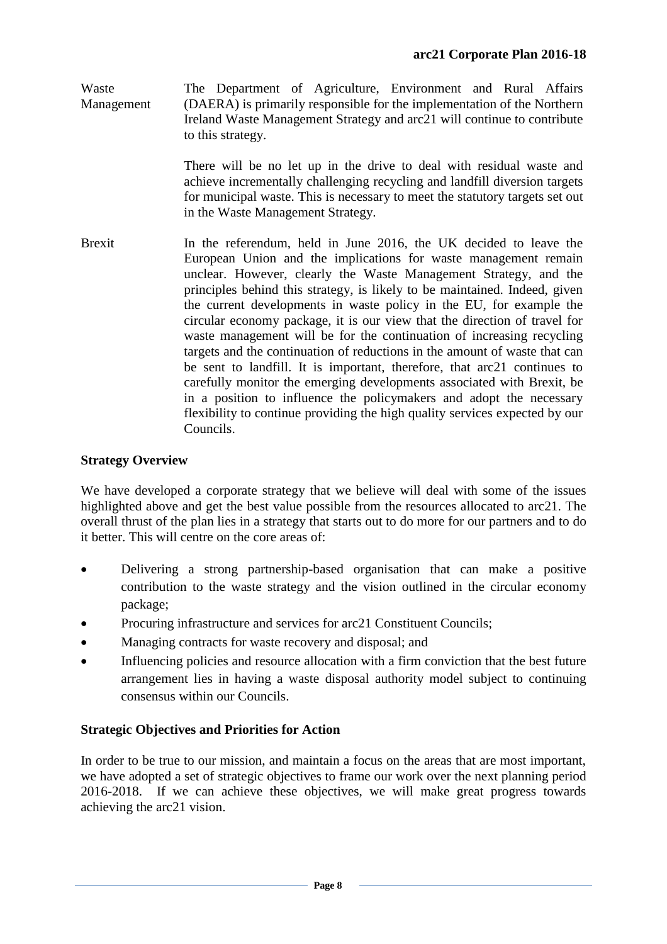Waste Management The Department of Agriculture, Environment and Rural Affairs (DAERA) is primarily responsible for the implementation of the Northern Ireland Waste Management Strategy and arc21 will continue to contribute to this strategy.

> There will be no let up in the drive to deal with residual waste and achieve incrementally challenging recycling and landfill diversion targets for municipal waste. This is necessary to meet the statutory targets set out in the Waste Management Strategy.

Brexit In the referendum, held in June 2016, the UK decided to leave the European Union and the implications for waste management remain unclear. However, clearly the Waste Management Strategy, and the principles behind this strategy, is likely to be maintained. Indeed, given the current developments in waste policy in the EU, for example the circular economy package, it is our view that the direction of travel for waste management will be for the continuation of increasing recycling targets and the continuation of reductions in the amount of waste that can be sent to landfill. It is important, therefore, that arc21 continues to carefully monitor the emerging developments associated with Brexit, be in a position to influence the policymakers and adopt the necessary flexibility to continue providing the high quality services expected by our Councils.

## **Strategy Overview**

We have developed a corporate strategy that we believe will deal with some of the issues highlighted above and get the best value possible from the resources allocated to arc21. The overall thrust of the plan lies in a strategy that starts out to do more for our partners and to do it better. This will centre on the core areas of:

- Delivering a strong partnership-based organisation that can make a positive contribution to the waste strategy and the vision outlined in the circular economy package;
- Procuring infrastructure and services for arc21 Constituent Councils;
- Managing contracts for waste recovery and disposal; and
- Influencing policies and resource allocation with a firm conviction that the best future arrangement lies in having a waste disposal authority model subject to continuing consensus within our Councils.

## **Strategic Objectives and Priorities for Action**

In order to be true to our mission, and maintain a focus on the areas that are most important, we have adopted a set of strategic objectives to frame our work over the next planning period 2016-2018. If we can achieve these objectives, we will make great progress towards achieving the arc21 vision.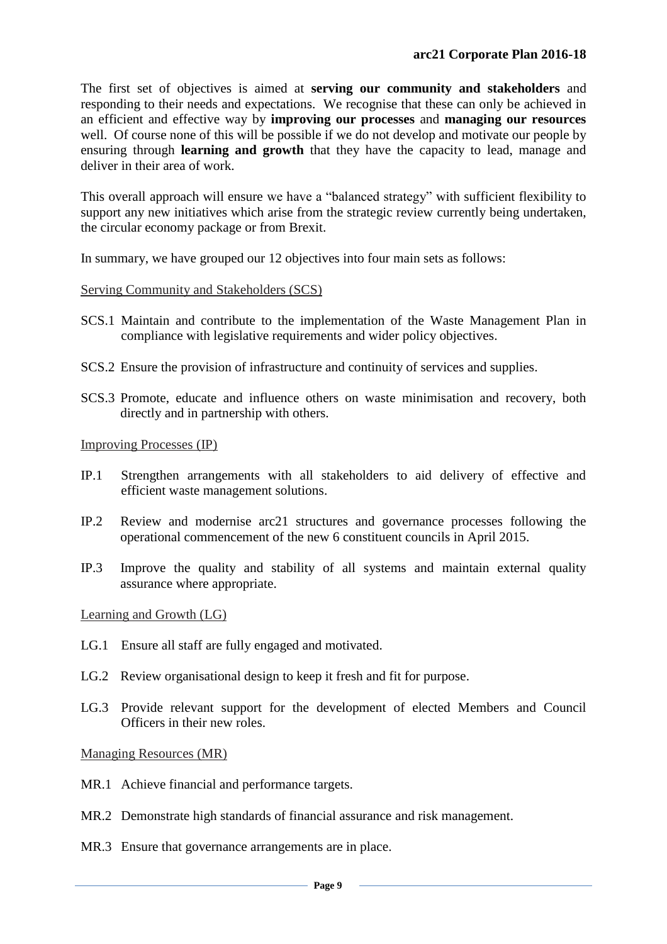The first set of objectives is aimed at **serving our community and stakeholders** and responding to their needs and expectations. We recognise that these can only be achieved in an efficient and effective way by **improving our processes** and **managing our resources** well. Of course none of this will be possible if we do not develop and motivate our people by ensuring through **learning and growth** that they have the capacity to lead, manage and deliver in their area of work.

This overall approach will ensure we have a "balanced strategy" with sufficient flexibility to support any new initiatives which arise from the strategic review currently being undertaken, the circular economy package or from Brexit.

In summary, we have grouped our 12 objectives into four main sets as follows:

#### Serving Community and Stakeholders (SCS)

- SCS.1 Maintain and contribute to the implementation of the Waste Management Plan in compliance with legislative requirements and wider policy objectives.
- SCS.2 Ensure the provision of infrastructure and continuity of services and supplies.
- SCS.3 Promote, educate and influence others on waste minimisation and recovery, both directly and in partnership with others.

Improving Processes (IP)

- IP.1 Strengthen arrangements with all stakeholders to aid delivery of effective and efficient waste management solutions.
- IP.2 Review and modernise arc21 structures and governance processes following the operational commencement of the new 6 constituent councils in April 2015.
- IP.3 Improve the quality and stability of all systems and maintain external quality assurance where appropriate.

Learning and Growth (LG)

- LG.1 Ensure all staff are fully engaged and motivated.
- LG.2 Review organisational design to keep it fresh and fit for purpose.
- LG.3 Provide relevant support for the development of elected Members and Council Officers in their new roles.

Managing Resources (MR)

- MR.1 Achieve financial and performance targets.
- MR.2 Demonstrate high standards of financial assurance and risk management.
- MR.3 Ensure that governance arrangements are in place.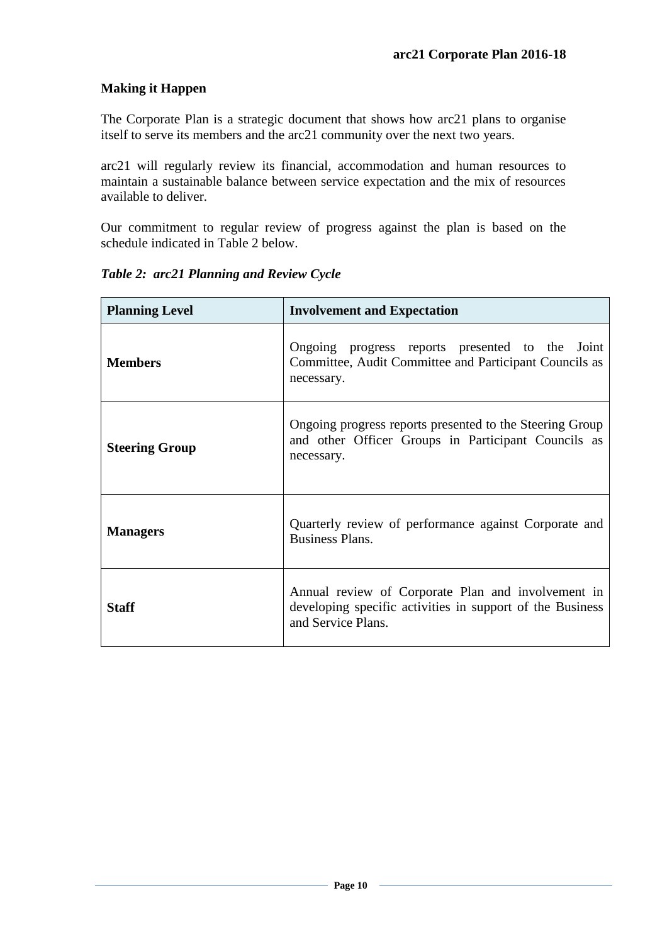# **Making it Happen**

The Corporate Plan is a strategic document that shows how arc21 plans to organise itself to serve its members and the arc21 community over the next two years.

arc21 will regularly review its financial, accommodation and human resources to maintain a sustainable balance between service expectation and the mix of resources available to deliver.

Our commitment to regular review of progress against the plan is based on the schedule indicated in Table 2 below.

| <b>Planning Level</b> | <b>Involvement and Expectation</b>                                                                                                    |  |
|-----------------------|---------------------------------------------------------------------------------------------------------------------------------------|--|
| <b>Members</b>        | Ongoing progress reports presented to the Joint<br>Committee, Audit Committee and Participant Councils as<br>necessary.               |  |
| <b>Steering Group</b> | Ongoing progress reports presented to the Steering Group<br>and other Officer Groups in Participant Councils as<br>necessary.         |  |
| <b>Managers</b>       | Quarterly review of performance against Corporate and<br>Business Plans.                                                              |  |
| Staff                 | Annual review of Corporate Plan and involvement in<br>developing specific activities in support of the Business<br>and Service Plans. |  |

*Table 2: arc21 Planning and Review Cycle*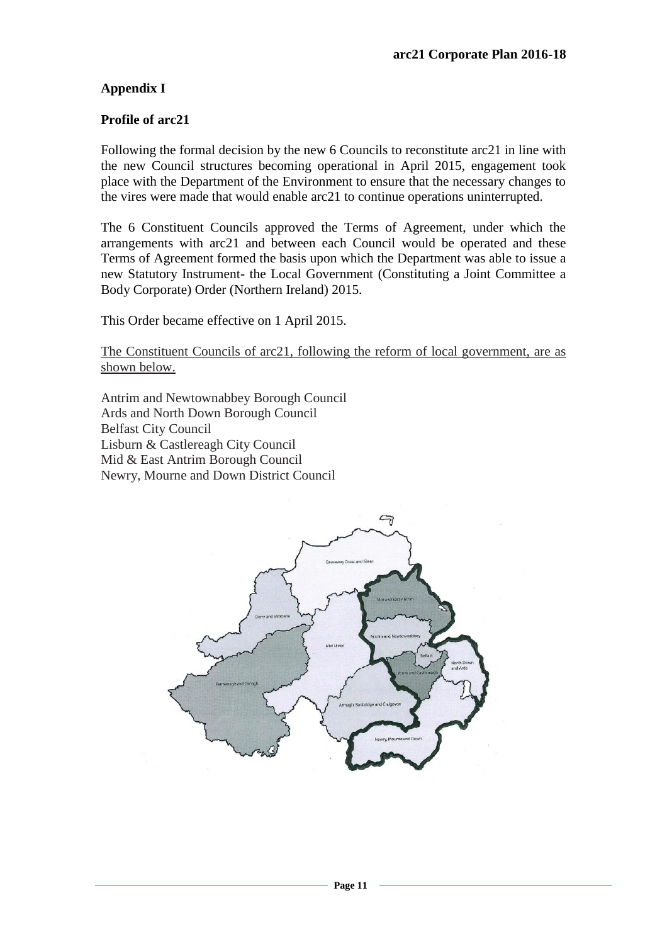## **Appendix I**

#### **Profile of arc21**

Following the formal decision by the new 6 Councils to reconstitute arc21 in line with the new Council structures becoming operational in April 2015, engagement took place with the Department of the Environment to ensure that the necessary changes to the vires were made that would enable arc21 to continue operations uninterrupted.

The 6 Constituent Councils approved the Terms of Agreement, under which the arrangements with arc21 and between each Council would be operated and these Terms of Agreement formed the basis upon which the Department was able to issue a new Statutory Instrument- the Local Government (Constituting a Joint Committee a Body Corporate) Order (Northern Ireland) 2015.

This Order became effective on 1 April 2015.

The Constituent Councils of arc21, following the reform of local government, are as shown below.

Antrim and Newtownabbey Borough Council Ards and North Down Borough Council Belfast City Council Lisburn & Castlereagh City Council Mid & East Antrim Borough Council Newry, Mourne and Down District Council

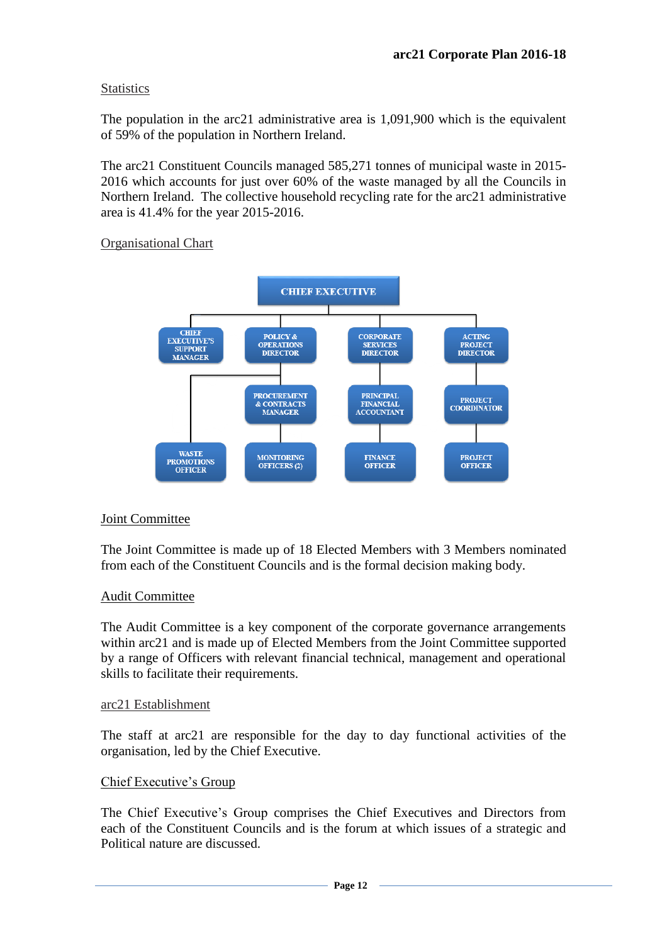## **Statistics**

The population in the arc21 administrative area is 1,091,900 which is the equivalent of 59% of the population in Northern Ireland.

The arc21 Constituent Councils managed 585,271 tonnes of municipal waste in 2015- 2016 which accounts for just over 60% of the waste managed by all the Councils in Northern Ireland. The collective household recycling rate for the arc21 administrative area is 41.4% for the year 2015-2016.

## Organisational Chart



## Joint Committee

The Joint Committee is made up of 18 Elected Members with 3 Members nominated from each of the Constituent Councils and is the formal decision making body.

## Audit Committee

The Audit Committee is a key component of the corporate governance arrangements within arc21 and is made up of Elected Members from the Joint Committee supported by a range of Officers with relevant financial technical, management and operational skills to facilitate their requirements.

#### arc21 Establishment

The staff at arc21 are responsible for the day to day functional activities of the organisation, led by the Chief Executive.

## Chief Executive's Group

The Chief Executive's Group comprises the Chief Executives and Directors from each of the Constituent Councils and is the forum at which issues of a strategic and Political nature are discussed.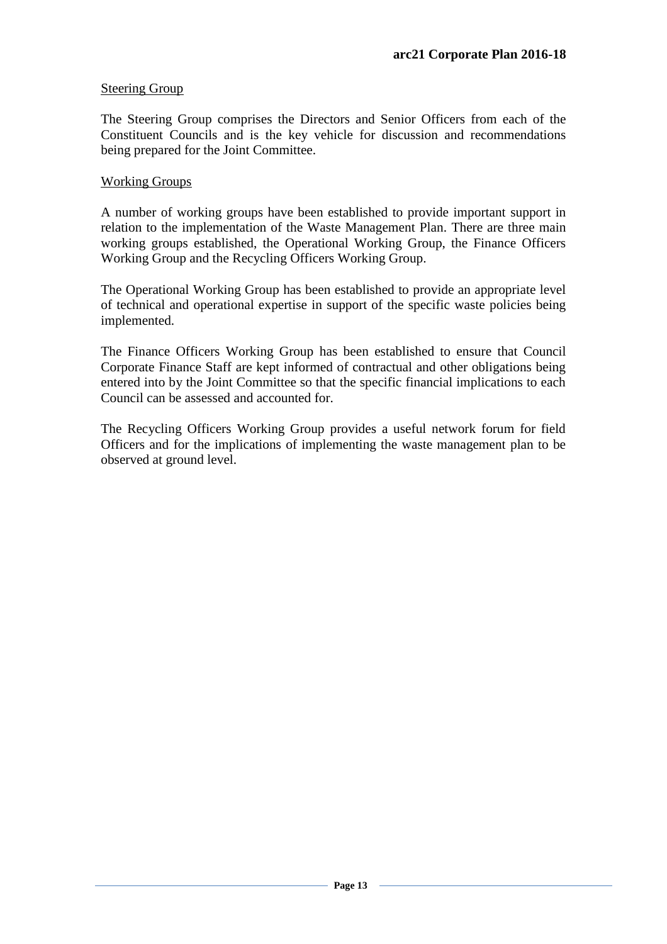## Steering Group

The Steering Group comprises the Directors and Senior Officers from each of the Constituent Councils and is the key vehicle for discussion and recommendations being prepared for the Joint Committee.

#### Working Groups

A number of working groups have been established to provide important support in relation to the implementation of the Waste Management Plan. There are three main working groups established, the Operational Working Group, the Finance Officers Working Group and the Recycling Officers Working Group.

The Operational Working Group has been established to provide an appropriate level of technical and operational expertise in support of the specific waste policies being implemented.

The Finance Officers Working Group has been established to ensure that Council Corporate Finance Staff are kept informed of contractual and other obligations being entered into by the Joint Committee so that the specific financial implications to each Council can be assessed and accounted for.

The Recycling Officers Working Group provides a useful network forum for field Officers and for the implications of implementing the waste management plan to be observed at ground level.